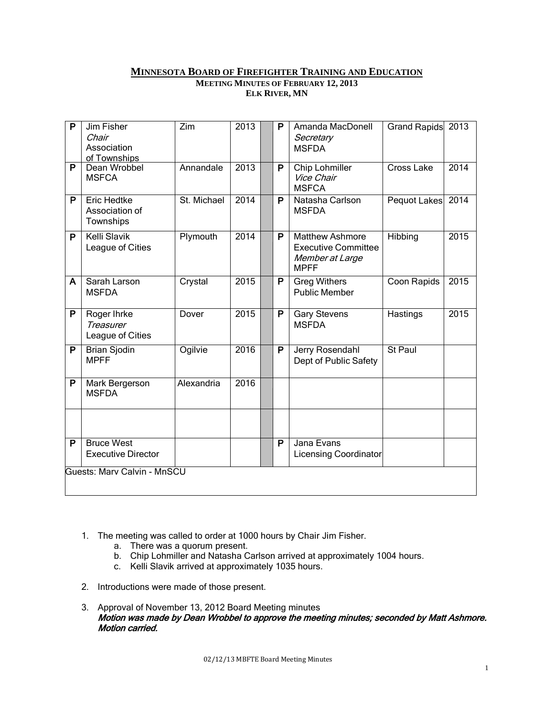#### **MINNESOTA BOARD OF FIREFIGHTER TRAINING AND EDUCATION MEETING MINUTES OF FEBRUARY 12, 2013**

**ELK RIVER, MN**

| $\mathsf{P}$                | Jim Fisher<br>Chair<br>Association<br>of Townships  | Zim         | 2013 |  | P                       | Amanda MacDonell<br>Secretary<br><b>MSFDA</b>                                          | Grand Rapids      | 2013 |
|-----------------------------|-----------------------------------------------------|-------------|------|--|-------------------------|----------------------------------------------------------------------------------------|-------------------|------|
| $\overline{P}$              | Dean Wrobbel<br><b>MSFCA</b>                        | Annandale   | 2013 |  | P                       | <b>Chip Lohmiller</b><br>Vice Chair<br><b>MSFCA</b>                                    | <b>Cross Lake</b> | 2014 |
| P                           | <b>Eric Hedtke</b><br>Association of<br>Townships   | St. Michael | 2014 |  | P                       | Natasha Carlson<br><b>MSFDA</b>                                                        | Pequot Lakes      | 2014 |
| P                           | <b>Kelli Slavik</b><br>League of Cities             | Plymouth    | 2014 |  | P                       | <b>Matthew Ashmore</b><br><b>Executive Committee</b><br>Member at Large<br><b>MPFF</b> | Hibbing           | 2015 |
| A                           | Sarah Larson<br><b>MSFDA</b>                        | Crystal     | 2015 |  | P                       | <b>Greg Withers</b><br><b>Public Member</b>                                            | Coon Rapids       | 2015 |
| $\overline{P}$              | Roger Ihrke<br><b>Treasurer</b><br>League of Cities | Dover       | 2015 |  | P                       | <b>Gary Stevens</b><br><b>MSFDA</b>                                                    | Hastings          | 2015 |
| P                           | <b>Brian Sjodin</b><br><b>MPFF</b>                  | Ogilvie     | 2016 |  | P                       | Jerry Rosendahl<br>Dept of Public Safety                                               | St Paul           |      |
| $\overline{P}$              | Mark Bergerson<br><b>MSFDA</b>                      | Alexandria  | 2016 |  |                         |                                                                                        |                   |      |
|                             |                                                     |             |      |  |                         |                                                                                        |                   |      |
| $\overline{\mathsf{P}}$     | <b>Bruce West</b><br><b>Executive Director</b>      |             |      |  | $\overline{\mathsf{P}}$ | Jana Evans<br><b>Licensing Coordinator</b>                                             |                   |      |
| Guests: Marv Calvin - MnSCU |                                                     |             |      |  |                         |                                                                                        |                   |      |

- 1. The meeting was called to order at 1000 hours by Chair Jim Fisher.
	- a. There was a quorum present.
	- b. Chip Lohmiller and Natasha Carlson arrived at approximately 1004 hours.
	- c. Kelli Slavik arrived at approximately 1035 hours.
- 2. Introductions were made of those present.
- 3. Approval of November 13, 2012 Board Meeting minutes Motion was made by Dean Wrobbel to approve the meeting minutes; seconded by Matt Ashmore. Motion carried.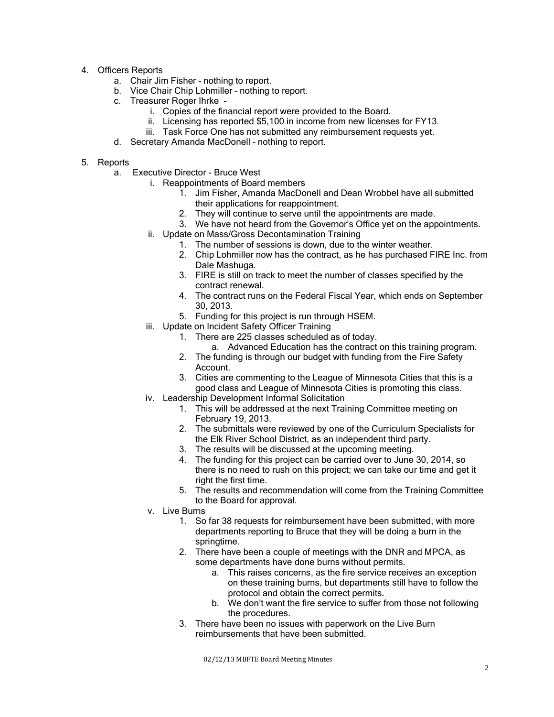- 4. Officers Reports
	- a. Chair Jim Fisher nothing to report.
	- b. Vice Chair Chip Lohmiller nothing to report.
	- c. Treasurer Roger Ihrke
		- i. Copies of the financial report were provided to the Board.
		- ii. Licensing has reported \$5,100 in income from new licenses for FY13.
		- iii. Task Force One has not submitted any reimbursement requests yet.
	- d. Secretary Amanda MacDonell nothing to report.

### 5. Reports

- a. Executive Director Bruce West
	- i. Reappointments of Board members
		- 1. Jim Fisher, Amanda MacDonell and Dean Wrobbel have all submitted their applications for reappointment.
		- 2. They will continue to serve until the appointments are made.
		- 3. We have not heard from the Governor's Office yet on the appointments.
		- ii. Update on Mass/Gross Decontamination Training
			- 1. The number of sessions is down, due to the winter weather.
			- 2. Chip Lohmiller now has the contract, as he has purchased FIRE Inc. from Dale Mashuga.
			- 3. FIRE is still on track to meet the number of classes specified by the contract renewal.
			- 4. The contract runs on the Federal Fiscal Year, which ends on September 30, 2013.
			- 5. Funding for this project is run through HSEM.
	- iii. Update on Incident Safety Officer Training
		- 1. There are 225 classes scheduled as of today.
			- a. Advanced Education has the contract on this training program.
		- 2. The funding is through our budget with funding from the Fire Safety Account.
		- 3. Cities are commenting to the League of Minnesota Cities that this is a good class and League of Minnesota Cities is promoting this class.
	- iv. Leadership Development Informal Solicitation
		- 1. This will be addressed at the next Training Committee meeting on February 19, 2013.
		- 2. The submittals were reviewed by one of the Curriculum Specialists for the Elk River School District, as an independent third party.
		- 3. The results will be discussed at the upcoming meeting.
		- 4. The funding for this project can be carried over to June 30, 2014, so there is no need to rush on this project; we can take our time and get it right the first time.
		- 5. The results and recommendation will come from the Training Committee to the Board for approval.
	- v. Live Burns
		- 1. So far 38 requests for reimbursement have been submitted, with more departments reporting to Bruce that they will be doing a burn in the springtime.
		- 2. There have been a couple of meetings with the DNR and MPCA, as some departments have done burns without permits.
			- a. This raises concerns, as the fire service receives an exception on these training burns, but departments still have to follow the protocol and obtain the correct permits.
			- b. We don't want the fire service to suffer from those not following the procedures.
		- 3. There have been no issues with paperwork on the Live Burn reimbursements that have been submitted.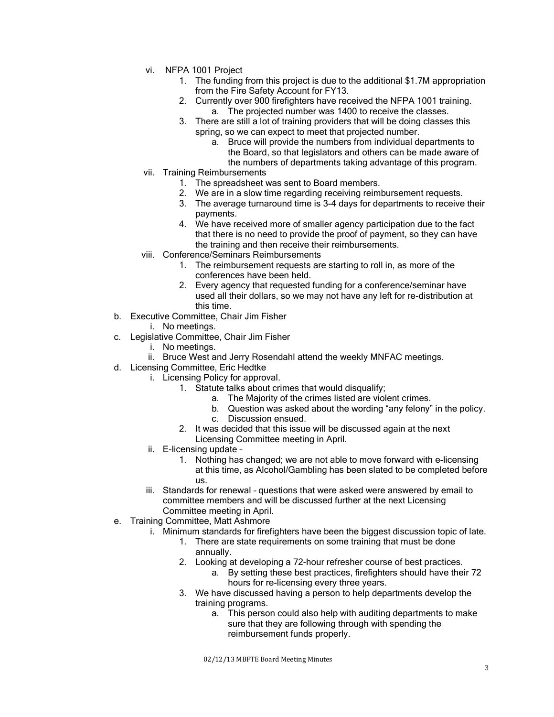- vi. NFPA 1001 Project
	- 1. The funding from this project is due to the additional \$1.7M appropriation from the Fire Safety Account for FY13.
	- 2. Currently over 900 firefighters have received the NFPA 1001 training.
		- a. The projected number was 1400 to receive the classes.
	- 3. There are still a lot of training providers that will be doing classes this spring, so we can expect to meet that projected number.
		- a. Bruce will provide the numbers from individual departments to the Board, so that legislators and others can be made aware of the numbers of departments taking advantage of this program.
- vii. Training Reimbursements
	- 1. The spreadsheet was sent to Board members.
	- 2. We are in a slow time regarding receiving reimbursement requests.
	- 3. The average turnaround time is 3-4 days for departments to receive their payments.
	- 4. We have received more of smaller agency participation due to the fact that there is no need to provide the proof of payment, so they can have the training and then receive their reimbursements.
- viii. Conference/Seminars Reimbursements
	- 1. The reimbursement requests are starting to roll in, as more of the conferences have been held.
	- 2. Every agency that requested funding for a conference/seminar have used all their dollars, so we may not have any left for re-distribution at this time.
- b. Executive Committee, Chair Jim Fisher
	- i. No meetings.
- c. Legislative Committee, Chair Jim Fisher
	- i. No meetings.
	- ii. Bruce West and Jerry Rosendahl attend the weekly MNFAC meetings.
- d. Licensing Committee, Eric Hedtke
	- i. Licensing Policy for approval.
		- 1. Statute talks about crimes that would disqualify;
			- a. The Majority of the crimes listed are violent crimes.
			- b. Question was asked about the wording "any felony" in the policy.
			- c. Discussion ensued.
		- 2. It was decided that this issue will be discussed again at the next Licensing Committee meeting in April.
	- ii. E-licensing update
		- 1. Nothing has changed; we are not able to move forward with e-licensing at this time, as Alcohol/Gambling has been slated to be completed before us.
	- iii. Standards for renewal questions that were asked were answered by email to committee members and will be discussed further at the next Licensing Committee meeting in April.
- e. Training Committee, Matt Ashmore
	- i. Minimum standards for firefighters have been the biggest discussion topic of late.
		- 1. There are state requirements on some training that must be done annually.
		- 2. Looking at developing a 72-hour refresher course of best practices.
			- a. By setting these best practices, firefighters should have their 72 hours for re-licensing every three years.
		- 3. We have discussed having a person to help departments develop the training programs.
			- a. This person could also help with auditing departments to make sure that they are following through with spending the reimbursement funds properly.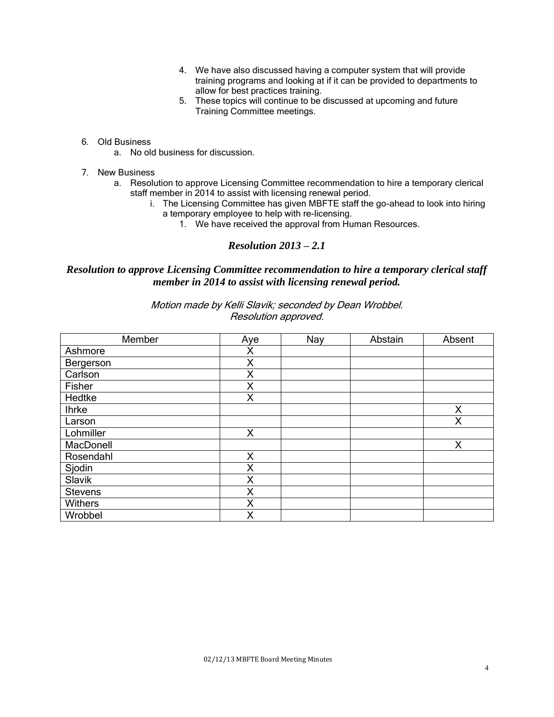- 4. We have also discussed having a computer system that will provide training programs and looking at if it can be provided to departments to allow for best practices training.
- 5. These topics will continue to be discussed at upcoming and future Training Committee meetings.
- 6. Old Business
	- a. No old business for discussion.
- 7. New Business
	- a. Resolution to approve Licensing Committee recommendation to hire a temporary clerical staff member in 2014 to assist with licensing renewal period.
		- i. The Licensing Committee has given MBFTE staff the go-ahead to look into hiring a temporary employee to help with re-licensing.
			- 1. We have received the approval from Human Resources.

# *Resolution 2013 – 2.1*

## *Resolution to approve Licensing Committee recommendation to hire a temporary clerical staff member in 2014 to assist with licensing renewal period.*

Motion made by Kelli Slavik; seconded by Dean Wrobbel. Resolution approved.

| Member         | Aye | Nay | Abstain | Absent |
|----------------|-----|-----|---------|--------|
| Ashmore        | Χ   |     |         |        |
| Bergerson      | X   |     |         |        |
| Carlson        | X   |     |         |        |
| Fisher         | X   |     |         |        |
| Hedtke         | X   |     |         |        |
| <b>Ihrke</b>   |     |     |         | X      |
| Larson         |     |     |         | X      |
| Lohmiller      | X   |     |         |        |
| MacDonell      |     |     |         | X      |
| Rosendahl      | X   |     |         |        |
| Sjodin         | X   |     |         |        |
| Slavik         | X   |     |         |        |
| <b>Stevens</b> | Χ   |     |         |        |
| <b>Withers</b> | X   |     |         |        |
| Wrobbel        | X   |     |         |        |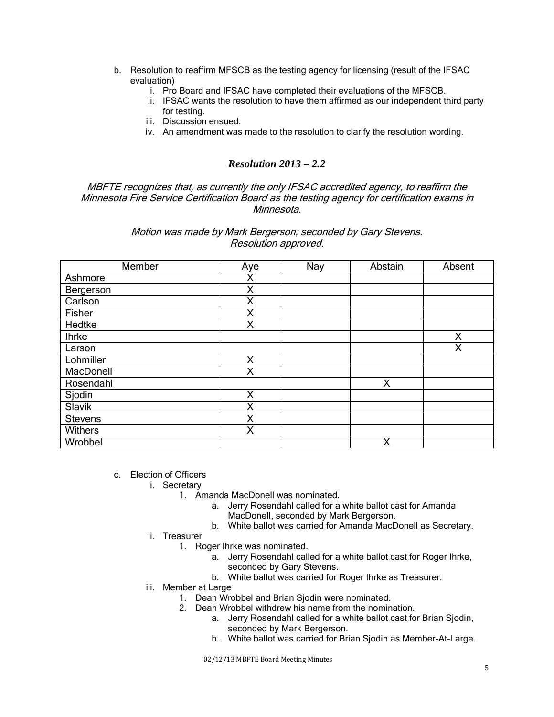- b. Resolution to reaffirm MFSCB as the testing agency for licensing (result of the IFSAC evaluation)
	- i. Pro Board and IFSAC have completed their evaluations of the MFSCB.
	- ii. IFSAC wants the resolution to have them affirmed as our independent third party for testing.
	- iii. Discussion ensued.
	- iv. An amendment was made to the resolution to clarify the resolution wording.

# *Resolution 2013 – 2.2*

MBFTE recognizes that, as currently the only IFSAC accredited agency, to reaffirm the Minnesota Fire Service Certification Board as the testing agency for certification exams in Minnesota.

### Motion was made by Mark Bergerson; seconded by Gary Stevens. Resolution approved.

| Member         | Aye | Nay | Abstain | Absent |
|----------------|-----|-----|---------|--------|
| Ashmore        | Χ   |     |         |        |
| Bergerson      | X   |     |         |        |
| Carlson        | Χ   |     |         |        |
| Fisher         | X   |     |         |        |
| Hedtke         | X   |     |         |        |
| <b>Ihrke</b>   |     |     |         | Χ      |
| Larson         |     |     |         | X      |
| Lohmiller      | X   |     |         |        |
| MacDonell      | Χ   |     |         |        |
| Rosendahl      |     |     | X       |        |
| Sjodin         | X   |     |         |        |
| Slavik         | X   |     |         |        |
| <b>Stevens</b> | X   |     |         |        |
| <b>Withers</b> | X   |     |         |        |
| Wrobbel        |     |     | Χ       |        |

### c. Election of Officers

- i. Secretary
	- 1. Amanda MacDonell was nominated.
		- a. Jerry Rosendahl called for a white ballot cast for Amanda MacDonell, seconded by Mark Bergerson.
		- b. White ballot was carried for Amanda MacDonell as Secretary.
- ii. Treasurer
	- 1. Roger Ihrke was nominated.
		- a. Jerry Rosendahl called for a white ballot cast for Roger Ihrke, seconded by Gary Stevens.
		- b. White ballot was carried for Roger Ihrke as Treasurer.
- iii. Member at Large
	- 1. Dean Wrobbel and Brian Sjodin were nominated.
	- 2. Dean Wrobbel withdrew his name from the nomination.
		- a. Jerry Rosendahl called for a white ballot cast for Brian Sjodin, seconded by Mark Bergerson.
		- b. White ballot was carried for Brian Sjodin as Member-At-Large.

02/12/13 MBFTE Board Meeting Minutes